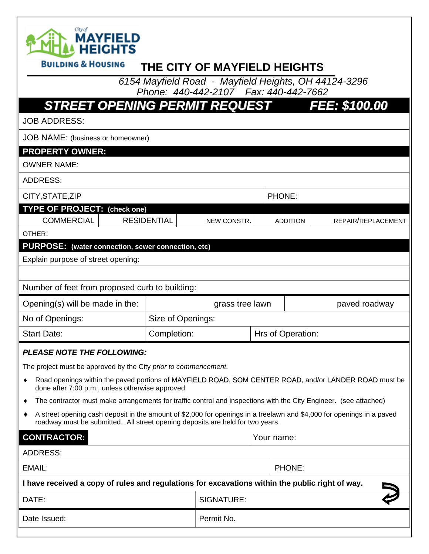

## **BUILDING & HOUSING THE CITY OF MAYFIELD HEIGHTS**

 *6154 Mayfield Road - Mayfield Heights, OH 44124-3296 Phone: 440-442-2107 Fax: 440-442-7662*

| <b>STREET OPENING PERMIT REQUEST</b>                            |  |                    |                                                                                                                                                                                                                                                                                                                                                                                                                                                              |  |                   | FEE: \$100.00                                                                                         |  |
|-----------------------------------------------------------------|--|--------------------|--------------------------------------------------------------------------------------------------------------------------------------------------------------------------------------------------------------------------------------------------------------------------------------------------------------------------------------------------------------------------------------------------------------------------------------------------------------|--|-------------------|-------------------------------------------------------------------------------------------------------|--|
| <b>JOB ADDRESS:</b>                                             |  |                    |                                                                                                                                                                                                                                                                                                                                                                                                                                                              |  |                   |                                                                                                       |  |
| JOB NAME: (business or homeowner)                               |  |                    |                                                                                                                                                                                                                                                                                                                                                                                                                                                              |  |                   |                                                                                                       |  |
| <b>PROPERTY OWNER:</b>                                          |  |                    |                                                                                                                                                                                                                                                                                                                                                                                                                                                              |  |                   |                                                                                                       |  |
| <b>OWNER NAME:</b>                                              |  |                    |                                                                                                                                                                                                                                                                                                                                                                                                                                                              |  |                   |                                                                                                       |  |
| <b>ADDRESS:</b>                                                 |  |                    |                                                                                                                                                                                                                                                                                                                                                                                                                                                              |  |                   |                                                                                                       |  |
| CITY, STATE, ZIP                                                |  |                    |                                                                                                                                                                                                                                                                                                                                                                                                                                                              |  | PHONE:            |                                                                                                       |  |
| <b>TYPE OF PROJECT: (check one)</b>                             |  |                    |                                                                                                                                                                                                                                                                                                                                                                                                                                                              |  |                   |                                                                                                       |  |
| <b>COMMERCIAL</b>                                               |  | <b>RESIDENTIAL</b> | NEW CONSTR.                                                                                                                                                                                                                                                                                                                                                                                                                                                  |  | <b>ADDITION</b>   | REPAIR/REPLACEMENT                                                                                    |  |
| OTHER:                                                          |  |                    |                                                                                                                                                                                                                                                                                                                                                                                                                                                              |  |                   |                                                                                                       |  |
| PURPOSE: (water connection, sewer connection, etc)              |  |                    |                                                                                                                                                                                                                                                                                                                                                                                                                                                              |  |                   |                                                                                                       |  |
| Explain purpose of street opening:                              |  |                    |                                                                                                                                                                                                                                                                                                                                                                                                                                                              |  |                   |                                                                                                       |  |
|                                                                 |  |                    |                                                                                                                                                                                                                                                                                                                                                                                                                                                              |  |                   |                                                                                                       |  |
| Number of feet from proposed curb to building:                  |  |                    |                                                                                                                                                                                                                                                                                                                                                                                                                                                              |  |                   |                                                                                                       |  |
| Opening(s) will be made in the:                                 |  | grass tree lawn    |                                                                                                                                                                                                                                                                                                                                                                                                                                                              |  |                   | paved roadway                                                                                         |  |
| No of Openings:                                                 |  | Size of Openings:  |                                                                                                                                                                                                                                                                                                                                                                                                                                                              |  |                   |                                                                                                       |  |
| <b>Start Date:</b>                                              |  | Completion:        |                                                                                                                                                                                                                                                                                                                                                                                                                                                              |  | Hrs of Operation: |                                                                                                       |  |
| <b>PLEASE NOTE THE FOLLOWING:</b>                               |  |                    |                                                                                                                                                                                                                                                                                                                                                                                                                                                              |  |                   |                                                                                                       |  |
| The project must be approved by the City prior to commencement. |  |                    |                                                                                                                                                                                                                                                                                                                                                                                                                                                              |  |                   |                                                                                                       |  |
| ٠<br>done after 7:00 p.m., unless otherwise approved.           |  |                    |                                                                                                                                                                                                                                                                                                                                                                                                                                                              |  |                   | Road openings within the paved portions of MAYFIELD ROAD, SOM CENTER ROAD, and/or LANDER ROAD must be |  |
|                                                                 |  |                    | The contractor must make arrangements for traffic control and inspections with the City Engineer. (see attached)                                                                                                                                                                                                                                                                                                                                             |  |                   |                                                                                                       |  |
|                                                                 |  |                    | $\mathcal{L} = \mathcal{L} = \mathcal{L} = \mathcal{L} = \mathcal{L} = \mathcal{L} = \mathcal{L} = \mathcal{L} = \mathcal{L} = \mathcal{L} = \mathcal{L} = \mathcal{L} = \mathcal{L} = \mathcal{L} = \mathcal{L} = \mathcal{L} = \mathcal{L} = \mathcal{L} = \mathcal{L} = \mathcal{L} = \mathcal{L} = \mathcal{L} = \mathcal{L} = \mathcal{L} = \mathcal{L} = \mathcal{L} = \mathcal{L} = \mathcal{L} = \mathcal{L} = \mathcal{L} = \mathcal{L} = \mathcal$ |  |                   |                                                                                                       |  |

 A street opening cash deposit in the amount of \$2,000 for openings in a treelawn and \$4,000 for openings in a paved roadway must be submitted. All street opening deposits are held for two years.

**CONTRACTOR:** Your name: ADDRESS: EMAIL: PHONE: **I have received a copy of rules and regulations for excavations within the public right of way.**  DATE: SIGNATURE: Date Issued: Permit No.